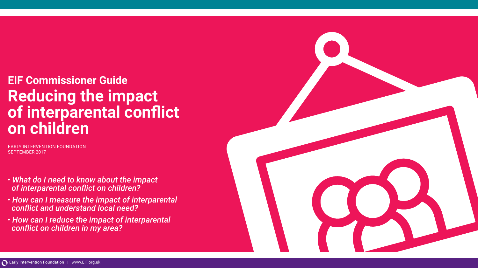# **EIF Commissioner Guide Reducing the impact of interparental conflict on children**

EARLY INTERVENTION FOUNDATION SEPTEMBER 2017

- *What do I need to know about the impact of interparental conflict on children?*
- *How can I measure the impact of interparental conflict and understand local need?*
- *How can I reduce the impact of interparental conflict on children in my area?*

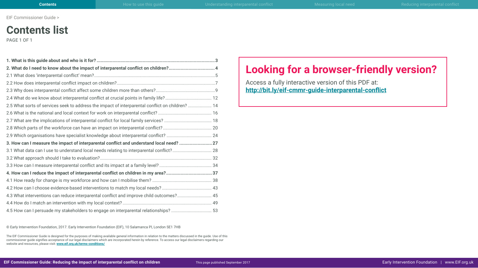## **Contents list**

PAGE 1 OF 1

| 2. What do I need to know about the impact of interparental conflict on children? 4              |  |
|--------------------------------------------------------------------------------------------------|--|
|                                                                                                  |  |
|                                                                                                  |  |
|                                                                                                  |  |
| 2.4 What do we know about interparental conflict at crucial points in family life? 12            |  |
| 2.5 What sorts of services seek to address the impact of interparental conflict on children?  14 |  |
|                                                                                                  |  |
|                                                                                                  |  |
|                                                                                                  |  |
|                                                                                                  |  |
| 3. How can I measure the impact of interparental conflict and understand local need? 27          |  |
| 3.1 What data can I use to understand local needs relating to interparental conflict? 28         |  |
|                                                                                                  |  |
|                                                                                                  |  |
| 4. How can I reduce the impact of interparental conflict on children in my area?37               |  |
|                                                                                                  |  |
|                                                                                                  |  |
| 4.3 What interventions can reduce interparental conflict and improve child outcomes? 45          |  |
|                                                                                                  |  |
| 4.5 How can I persuade my stakeholders to engage on interparental relationships? 53              |  |

© Early Intervention Foundation, 2017. Early Intervention Foundation (EIF), 10 Salamanca Pl, London SE1 7HB

The EIF Commissioner Guide is designed for the purposes of making available general information in relation to the matters discussed in the guide. Use of this commissioner guide signifies acceptance of our legal disclaimers which are incorporated herein by reference. To access our legal disclaimers regarding our website and resources, please visit: **[www.eif.org.uk/terms-conditions/](http://www.eif.org.uk/terms-conditions/)**

### **Looking for a browser-friendly version?**

Access a fully interactive version of this PDF at: **<http://bit.ly/eif-cmmr-guide-interparental-conflict>**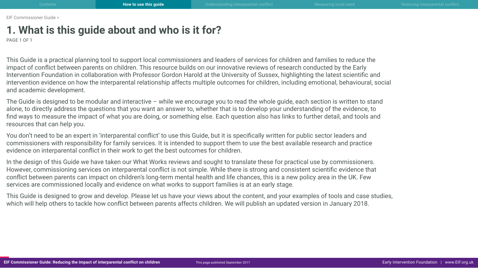## <span id="page-2-0"></span>**1. What is this guide about and who is it for?**

PAGE 1 OF 1

This Guide is a practical planning tool to support local commissioners and leaders of services for children and families to reduce the impact of conflict between parents on children. This resource builds on our innovative reviews of research conducted by the Early Intervention Foundation in collaboration with Professor Gordon Harold at the University of Sussex, highlighting the latest scientific and intervention evidence on how the interparental relationship affects multiple outcomes for children, including emotional, behavioural, social and academic development.

The Guide is designed to be modular and interactive – while we encourage you to read the whole guide, each section is written to stand alone, to directly address the questions that you want an answer to, whether that is to develop your understanding of the evidence, to find ways to measure the impact of what you are doing, or something else. Each question also has links to further detail, and tools and resources that can help you.

You don't need to be an expert in 'interparental conflict' to use this Guide, but it is specifically written for public sector leaders and commissioners with responsibility for family services. It is intended to support them to use the best available research and practice evidence on interparental conflict in their work to get the best outcomes for children.

In the design of this Guide we have taken our What Works reviews and sought to translate these for practical use by commissioners. However, commissioning services on interparental conflict is not simple. While there is strong and consistent scientific evidence that conflict between parents can impact on children's long-term mental health and life chances, this is a new policy area in the UK. Few services are commissioned locally and evidence on what works to support families is at an early stage.

This Guide is designed to grow and develop. Please let us have your views about the content, and your examples of tools and case studies, which will help others to tackle how conflict between parents affects children. We will publish an updated version in January 2018.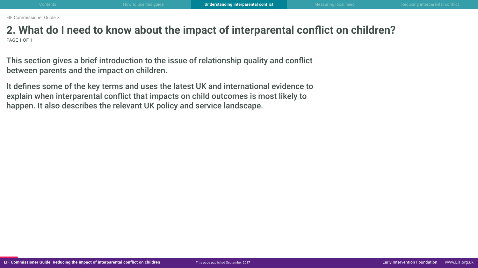### <span id="page-3-0"></span>**2. What do I need to know about the impact of interparental conflict on children?** PAGE 1 OF 1

This section gives a brief introduction to the issue of relationship quality and conflict between parents and the impact on children.

It defines some of the key terms and uses the latest UK and international evidence to explain when interparental conflict that impacts on child outcomes is most likely to happen. It also describes the relevant UK policy and service landscape.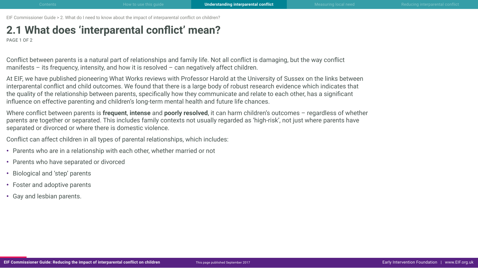## <span id="page-4-0"></span>**2.1 What does 'interparental conflict' mean?**

PAGE 1 OF 2

Conflict between parents is a natural part of relationships and family life. Not all conflict is damaging, but the way conflict manifests – its frequency, intensity, and how it is resolved – can negatively affect children.

At EIF, we have published pioneering What Works reviews with Professor Harold at the University of Sussex on the links between interparental conflict and child outcomes. We found that there is a large body of robust research evidence which indicates that the quality of the relationship between parents, specifically how they communicate and relate to each other, has a significant influence on effective parenting and children's long-term mental health and future life chances.

Where conflict between parents is **frequent**, **intense** and **poorly resolved**, it can harm children's outcomes – regardless of whether parents are together or separated. This includes family contexts not usually regarded as 'high-risk', not just where parents have separated or divorced or where there is domestic violence.

Conflict can affect children in all types of parental relationships, which includes:

- Parents who are in a relationship with each other, whether married or not
- Parents who have separated or divorced
- Biological and 'step' parents
- Foster and adoptive parents
- Gay and lesbian parents.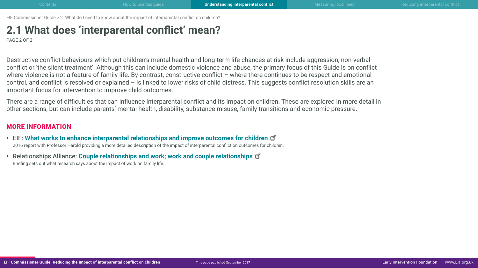## **2.1 What does 'interparental conflict' mean?**

PAGE 2 OF 2

Destructive conflict behaviours which put children's mental health and long-term life chances at risk include aggression, non-verbal conflict or 'the silent treatment'. Although this can include domestic violence and abuse, the primary focus of this Guide is on conflict where violence is not a feature of family life. By contrast, constructive conflict – where there continues to be respect and emotional control, and conflict is resolved or explained – is linked to lower risks of child distress. This suggests conflict resolution skills are an important focus for intervention to improve child outcomes.

There are a range of difficulties that can influence interparental conflict and its impact on children. These are explored in more detail in other sections, but can include parents' mental health, disability, substance misuse, family transitions and economic pressure.

#### MORE INFORMATION

- EIF: **[What works to enhance interparental relationships and improve outcomes for childre](http://www.eif.org.uk/publication/what-works-to-enhance-inter-parental-relationships-and-improve-outcomes-for-children-3/)n** 2016 report with Professor Harold providing a more detailed description of the impact of interparental conflict on outcomes for children.
- Relationships Alliance: **[Couple relationships and work; work and couple relationships](http://tavistockrelationships.ac.uk/images/uploads/Couple_Relationships_and_Work_RA_briefing.pdf)** Briefing sets out what research says about the impact of work on family life.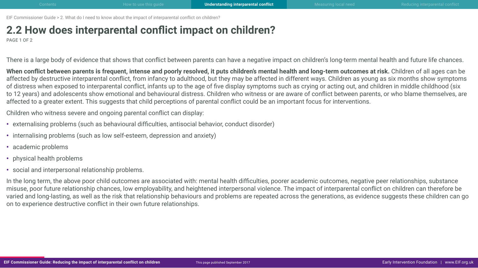## <span id="page-6-0"></span>**2.2 How does interparental conflict impact on children?**

PAGE 1 OF 2

There is a large body of evidence that shows that conflict between parents can have a negative impact on children's long-term mental health and future life chances.

When conflict between parents is frequent, intense and poorly resolved, it puts children's mental health and long-term outcomes at risk. Children of all ages can be affected by destructive interparental conflict, from infancy to adulthood, but they may be affected in different ways. Children as young as six months show symptoms of distress when exposed to interparental conflict, infants up to the age of five display symptoms such as crying or acting out, and children in middle childhood (six to 12 years) and adolescents show emotional and behavioural distress. Children who witness or are aware of conflict between parents, or who blame themselves, are affected to a greater extent. This suggests that child perceptions of parental conflict could be an important focus for interventions.

Children who witness severe and ongoing parental conflict can display:

- externalising problems (such as behavioural difficulties, antisocial behavior, conduct disorder)
- internalising problems (such as low self-esteem, depression and anxiety)
- academic problems
- physical health problems
- social and interpersonal relationship problems.

In the long term, the above poor child outcomes are associated with: mental health difficulties, poorer academic outcomes, negative peer relationships, substance misuse, poor future relationship chances, low employability, and heightened interpersonal violence. The impact of interparental conflict on children can therefore be varied and long-lasting, as well as the risk that relationship behaviours and problems are repeated across the generations, as evidence suggests these children can go on to experience destructive conflict in their own future relationships.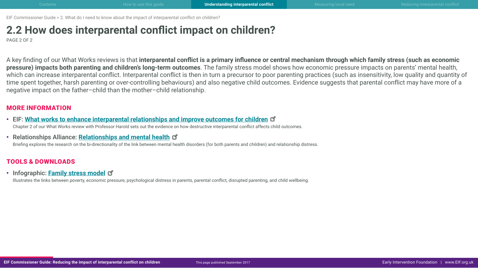## **2.2 How does interparental conflict impact on children?**

PAGE 2 OF 2

A key finding of our What Works reviews is that **interparental conflict is a primary influence or central mechanism through which family stress (such as economic pressure) impacts both parenting and children's long-term outcomes**. The family stress model shows how economic pressure impacts on parents' mental health, which can increase interparental conflict. Interparental conflict is then in turn a precursor to poor parenting practices (such as insensitivity, low quality and quantity of time spent together, harsh parenting or over-controlling behaviours) and also negative child outcomes. Evidence suggests that parental conflict may have more of a negative impact on the father–child than the mother–child relationship.

#### MORE INFORMATION

- EIF: **[What works to enhance interparental relationships and improve outcomes for childre](http://www.eif.org.uk/publication/what-works-to-enhance-inter-parental-relationships-and-improve-outcomes-for-children-3/)n** Chapter 2 of our What Works review with Professor Harold sets out the evidence on how destructive interparental conflict affects child outcomes.
- Relationships Alliance: **[Relationships and mental health](http://tavistockrelationships.ac.uk/policy-research/policy-briefings/689-couple-relationships-and-mental-health-a-policy-briefing-from-the-relationships-alliance)**

Briefing explores the research on the bi-directionality of the link between mental health disorders (for both parents and children) and relationship distress.

### TOOLS & DOWNLOADS

• Infographic: **[Family stress mode](http://www.eif.org.uk/wp-content/uploads/2017/09/CG-IPR_2-2_family-stress-model.pdf)l**

Illustrates the links between poverty, economic pressure, psychological distress in parents, parental conflict, disrupted parenting, and child wellbeing.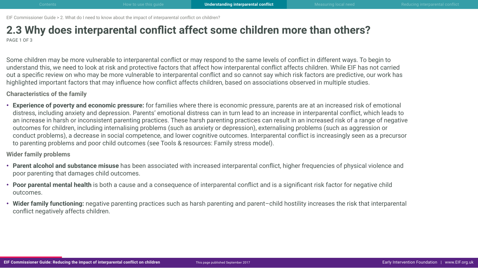### <span id="page-8-0"></span>**2.3 Why does interparental conflict affect some children more than others?** PAGE 1 OF 3

Some children may be more vulnerable to interparental conflict or may respond to the same levels of conflict in different ways. To begin to understand this, we need to look at risk and protective factors that affect how interparental conflict affects children. While EIF has not carried out a specific review on who may be more vulnerable to interparental conflict and so cannot say which risk factors are predictive, our work has highlighted important factors that may influence how conflict affects children, based on associations observed in multiple studies.

**Characteristics of the family**

• **Experience of poverty and economic pressure:** for families where there is economic pressure, parents are at an increased risk of emotional distress, including anxiety and depression. Parents' emotional distress can in turn lead to an increase in interparental conflict, which leads to an increase in harsh or inconsistent parenting practices. These harsh parenting practices can result in an increased risk of a range of negative outcomes for children, including internalising problems (such as anxiety or depression), externalising problems (such as aggression or conduct problems), a decrease in social competence, and lower cognitive outcomes. Interparental conflict is increasingly seen as a precursor to parenting problems and poor child outcomes (see Tools & resources: Family stress model).

**Wider family problems**

- **Parent alcohol and substance misuse** has been associated with increased interparental conflict, higher frequencies of physical violence and poor parenting that damages child outcomes.
- **Poor parental mental health** is both a cause and a consequence of interparental conflict and is a significant risk factor for negative child outcomes.
- Wider family functioning: negative parenting practices such as harsh parenting and parent-child hostility increases the risk that interparental conflict negatively affects children.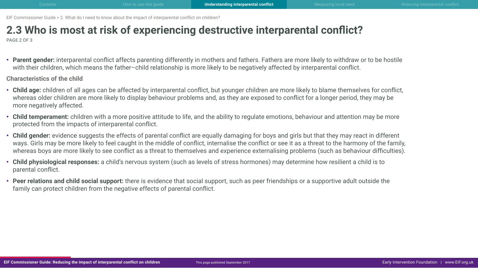# **2.3 Who is most at risk of experiencing destructive interparental conflict?**

PAGE 2 OF 3

• **Parent gender:** interparental conflict affects parenting differently in mothers and fathers. Fathers are more likely to withdraw or to be hostile with their children, which means the father–child relationship is more likely to be negatively affected by interparental conflict.

**Characteristics of the child**

- **Child age:** children of all ages can be affected by interparental conflict, but younger children are more likely to blame themselves for conflict, whereas older children are more likely to display behaviour problems and, as they are exposed to conflict for a longer period, they may be more negatively affected.
- **Child temperament:** children with a more positive attitude to life, and the ability to regulate emotions, behaviour and attention may be more protected from the impacts of interparental conflict.
- **Child gender:** evidence suggests the effects of parental conflict are equally damaging for boys and girls but that they may react in different ways. Girls may be more likely to feel caught in the middle of conflict, internalise the conflict or see it as a threat to the harmony of the family, whereas boys are more likely to see conflict as a threat to themselves and experience externalising problems (such as behaviour difficulties).
- **Child physiological responses:** a child's nervous system (such as levels of stress hormones) may determine how resilient a child is to parental conflict.
- **Peer relations and child social support:** there is evidence that social support, such as peer friendships or a supportive adult outside the family can protect children from the negative effects of parental conflict.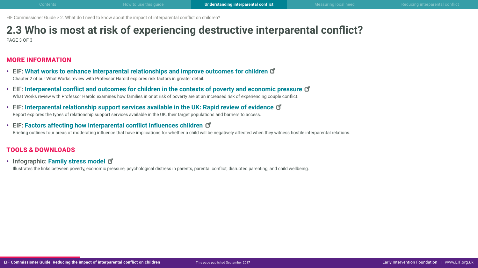# **2.3 Who is most at risk of experiencing destructive interparental conflict?**

PAGE 3 OF 3

### MORE INFORMATION

- EIF: **[What works to enhance interparental relationships and improve outcomes for childre](http://www.eif.org.uk/publication/what-works-to-enhance-inter-parental-relationships-and-improve-outcomes-for-children-3/)n** Chapter 2 of our What Works review with Professor Harold explores risk factors in greater detail.
- EIF: **[Interparental conflict and outcomes for children in the contexts of poverty and economic pressur](http://www.eif.org.uk/publication/inter-parental-conflict-and-outcomes-for-children-in-the-contexts-of-poverty-and-economic-pressure/)e** What Works review with Professor Harold examines how families in or at risk of poverty are at an increased risk of experiencing couple conflict.
- EIF: **[Interparental relationship support services available in the UK: Rapid review of evidenc](http://www.eif.org.uk/publication/inter-parental-relationship-support-services-available-in-the-uk-rapid-review-of-evidence/)e** Report explores the types of relationship support services available in the UK, their target populations and barriers to access.
- EIF: **[Factors affecting how interparental conflict influences childre](http://www.eif.org.uk/wp-content/uploads/2017/09/CG-IPR_2-3_factors-affecting-how-conflict-influences-children.pdf)n** Briefing outlines four areas of moderating influence that have implications for whether a child will be negatively affected when they witness hostile interparental relations.

### TOOLS & DOWNLOADS

• Infographic: **[Family stress mode](http://www.eif.org.uk/wp-content/uploads/2017/09/CG-IPR_2-2_family-stress-model.pdf)l**

Illustrates the links between poverty, economic pressure, psychological distress in parents, parental conflict, disrupted parenting, and child wellbeing.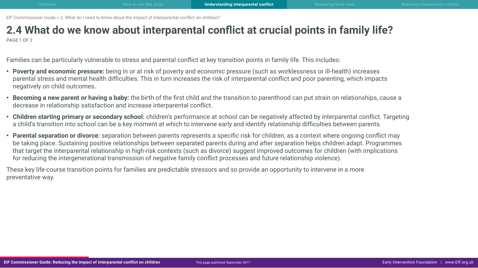### <span id="page-11-0"></span>**2.4 What do we know about interparental conflict at crucial points in family life?** PAGE 1 OF 2

Families can be particularly vulnerable to stress and parental conflict at key transition points in family life. This includes:

- **Poverty and economic pressure:** being in or at risk of poverty and economic pressure (such as worklessness or ill-health) increases parental stress and mental health difficulties. This in turn increases the risk of interparental conflict and poor parenting, which impacts negatively on child outcomes.
- **Becoming a new parent or having a baby:** the birth of the first child and the transition to parenthood can put strain on relationships, cause a decrease in relationship satisfaction and increase interparental conflict.
- **Children starting primary or secondary school:** children's performance at school can be negatively affected by interparental conflict. Targeting a child's transition into school can be a key moment at which to intervene early and identify relationship difficulties between parents.
- **Parental separation or divorce:** separation between parents represents a specific risk for children, as a context where ongoing conflict may be taking place. Sustaining positive relationships between separated parents during and after separation helps children adapt. Programmes that target the interparental relationship in high-risk contexts (such as divorce) suggest improved outcomes for children (with implications for reducing the intergenerational transmission of negative family conflict processes and future relationship violence).

These key life-course transition points for families are predictable stressors and so provide an opportunity to intervene in a more preventative way.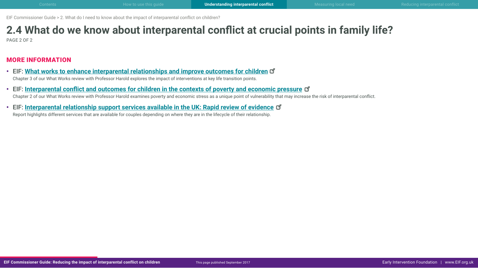# **2.4 What do we know about interparental conflict at crucial points in family life?**

PAGE 2 OF 2

### MORE INFORMATION

- EIF: **[What works to enhance interparental relationships and improve outcomes for childre](http://www.eif.org.uk/publication/what-works-to-enhance-inter-parental-relationships-and-improve-outcomes-for-children-3/)n** Chapter 3 of our What Works review with Professor Harold explores the impact of interventions at key life transition points.
- EIF: **[Interparental conflict and outcomes for children in the contexts of poverty and economic pressur](http://www.eif.org.uk/publication/inter-parental-conflict-and-outcomes-for-children-in-the-contexts-of-poverty-and-economic-pressure/)e** Chapter 2 of our What Works review with Professor Harold examines poverty and economic stress as a unique point of vulnerability that may increase the risk of interparental conflict.
- EIF: **[Interparental relationship support services available in the UK: Rapid review of evidenc](http://www.eif.org.uk/publication/inter-parental-relationship-support-services-available-in-the-uk-rapid-review-of-evidence/)e** Report highlights different services that are available for couples depending on where they are in the lifecycle of their relationship.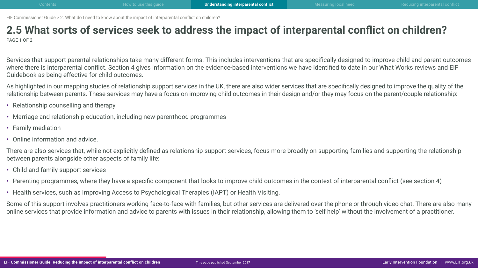### <span id="page-13-0"></span>**2.5 What sorts of services seek to address the impact of interparental conflict on children?** PAGE 1 OF 2

Services that support parental relationships take many different forms. This includes interventions that are specifically designed to improve child and parent outcomes where there is interparental conflict. Section 4 gives information on the evidence-based interventions we have identified to date in our What Works reviews and EIF Guidebook as being effective for child outcomes.

As highlighted in our mapping studies of relationship support services in the UK, there are also wider services that are specifically designed to improve the quality of the relationship between parents. These services may have a focus on improving child outcomes in their design and/or they may focus on the parent/couple relationship:

- Relationship counselling and therapy
- Marriage and relationship education, including new parenthood programmes
- Family mediation
- Online information and advice.

There are also services that, while not explicitly defined as relationship support services, focus more broadly on supporting families and supporting the relationship between parents alongside other aspects of family life:

- Child and family support services
- Parenting programmes, where they have a specific component that looks to improve child outcomes in the context of interparental conflict (see section 4)
- Health services, such as Improving Access to Psychological Therapies (IAPT) or Health Visiting.

Some of this support involves practitioners working face-to-face with families, but other services are delivered over the phone or through video chat. There are also many online services that provide information and advice to parents with issues in their relationship, allowing them to 'self help' without the involvement of a practitioner.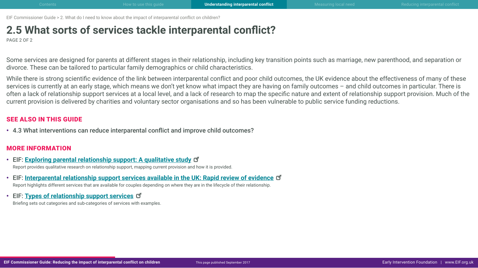### **2.5 What sorts of services tackle interparental conflict?**

PAGE 2 OF 2

Some services are designed for parents at different stages in their relationship, including key transition points such as marriage, new parenthood, and separation or divorce. These can be tailored to particular family demographics or child characteristics.

While there is strong scientific evidence of the link between interparental conflict and poor child outcomes, the UK evidence about the effectiveness of many of these services is currently at an early stage, which means we don't yet know what impact they are having on family outcomes – and child outcomes in particular. There is often a lack of relationship support services at a local level, and a lack of research to map the specific nature and extent of relationship support provision. Much of the current provision is delivered by charities and voluntary sector organisations and so has been vulnerable to public service funding reductions.

### SEE ALSO IN THIS GUIDE

• 4.3 What interventions can reduce interparental conflict and improve child outcomes?

### MORE INFORMATION

- EIF: **[Exploring parental relationship support: A qualitative study](http://www.eif.org.uk/publication/exploring-parental-relationship-support-a-qualitative-study/)** Report provides qualitative research on relationship support, mapping current provision and how it is provided.
- EIF: **[Interparental relationship support services available in the UK: Rapid review of evidence](http://www.eif.org.uk/publication/inter-parental-relationship-support-services-available-in-the-uk-rapid-review-of-evidence/)** Report highlights different services that are available for couples depending on where they are in the lifecycle of their relationship.
- EIF: **[Types of relationship support service](http://www.eif.org.uk/wp-content/uploads/2017/09/CG-IPR_2-5_types-of-services.pdf)s**

Briefing sets out categories and sub-categories of services with examples.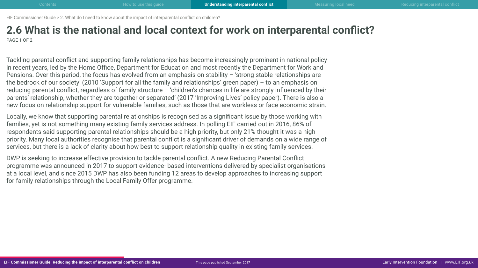### <span id="page-15-0"></span>**2.6 What is the national and local context for work on interparental conflict?** PAGE 1 OF 2

Tackling parental conflict and supporting family relationships has become increasingly prominent in national policy in recent years, led by the Home Office, Department for Education and most recently the Department for Work and Pensions. Over this period, the focus has evolved from an emphasis on stability – 'strong stable relationships are the bedrock of our society' (2010 'Support for all the family and relationships' green paper) – to an emphasis on reducing parental conflict, regardless of family structure – 'children's chances in life are strongly influenced by their parents' relationship, whether they are together or separated' (2017 'Improving Lives' policy paper). There is also a new focus on relationship support for vulnerable families, such as those that are workless or face economic strain.

Locally, we know that supporting parental relationships is recognised as a significant issue by those working with families, yet is not something many existing family services address. In polling EIF carried out in 2016, 86% of respondents said supporting parental relationships should be a high priority, but only 21% thought it was a high priority. Many local authorities recognise that parental conflict is a significant driver of demands on a wide range of services, but there is a lack of clarity about how best to support relationship quality in existing family services.

DWP is seeking to increase effective provision to tackle parental conflict. A new Reducing Parental Conflict programme was announced in 2017 to support evidence- based interventions delivered by specialist organisations at a local level, and since 2015 DWP has also been funding 12 areas to develop approaches to increasing support for family relationships through the Local Family Offer programme.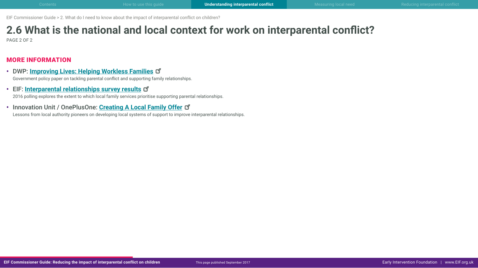# **2.6 What is the national and local context for work on interparental conflict?**

PAGE 2 OF 2

### MORE INFORMATION

- DWP: **[Improving Lives: Helping Workless Familie](https://www.gov.uk/government/uploads/system/uploads/attachment_data/file/621364/improving-lives-helping-workless-families-web-version.pdf)s** Government policy paper on tackling parental conflict and supporting family relationships.
- EIF: **[Interparental relationships survey result](http://www.eif.org.uk/inter-parental-relationships-survey-results/)s** 2016 polling explores the extent to which local family services prioritise supporting parental relationships.
- Innovation Unit / OnePlusOne: **Creating A Local Family Offer** Lessons from local authority pioneers on developing local systems of support to improve interparental relationships.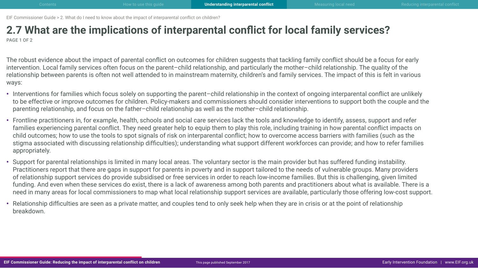### <span id="page-17-0"></span>**2.7 What are the implications of interparental conflict for local family services?** PAGE 1 OF 2

The robust evidence about the impact of parental conflict on outcomes for children suggests that tackling family conflict should be a focus for early intervention. Local family services often focus on the parent–child relationship, and particularly the mother–child relationship. The quality of the relationship between parents is often not well attended to in mainstream maternity, children's and family services. The impact of this is felt in various ways:

- Interventions for families which focus solely on supporting the parent–child relationship in the context of ongoing interparental conflict are unlikely to be effective or improve outcomes for children. Policy-makers and commissioners should consider interventions to support both the couple and the parenting relationship, and focus on the father–child relationship as well as the mother–child relationship.
- Frontline practitioners in, for example, health, schools and social care services lack the tools and knowledge to identify, assess, support and refer families experiencing parental conflict. They need greater help to equip them to play this role, including training in how parental conflict impacts on child outcomes; how to use the tools to spot signals of risk on interparental conflict; how to overcome access barriers with families (such as the stigma associated with discussing relationship difficulties); understanding what support different workforces can provide; and how to refer families appropriately.
- Support for parental relationships is limited in many local areas. The voluntary sector is the main provider but has suffered funding instability. Practitioners report that there are gaps in support for parents in poverty and in support tailored to the needs of vulnerable groups. Many providers of relationship support services do provide subsidised or free services in order to reach low-income families. But this is challenging, given limited funding. And even when these services do exist, there is a lack of awareness among both parents and practitioners about what is available. There is a need in many areas for local commissioners to map what local relationship support services are available, particularly those offering low-cost support.
- Relationship difficulties are seen as a private matter, and couples tend to only seek help when they are in crisis or at the point of relationship breakdown.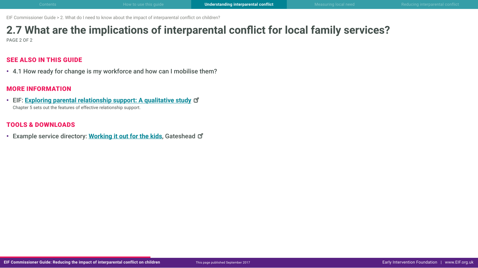## **2.7 What are the implications of interparental conflict for local family services?**

PAGE 2 OF 2

### SEE ALSO IN THIS GUIDE

• 4.1 How ready for change is my workforce and how can I mobilise them?

### MORE INFORMATION

• EIF: **[Exploring parental relationship support: A qualitative study](http://www.eif.org.uk/publication/exploring-parental-relationship-support-a-qualitative-study/)** Chapter 5 sets out the features of effective relationship support.

### TOOLS & DOWNLOADS

• Example service directory: **[Working it out for the kids](http://www.gateshead.gov.uk/DocumentLibrary/CBS/Care/leaflets/Family-intervention-team/PUB-CW17-Working-it-out-for-the-kids-guide-job-0933.pdf)**, Gateshead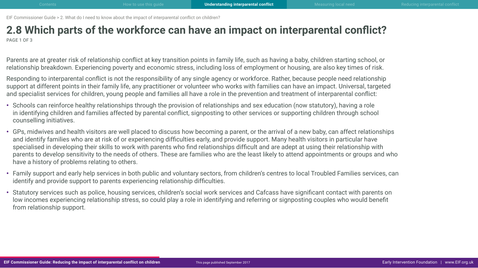### <span id="page-19-0"></span>**2.8 Which parts of the workforce can have an impact on interparental conflict?** PAGE 1 OF 3

Parents are at greater risk of relationship conflict at key transition points in family life, such as having a baby, children starting school, or relationship breakdown. Experiencing poverty and economic stress, including loss of employment or housing, are also key times of risk.

Responding to interparental conflict is not the responsibility of any single agency or workforce. Rather, because people need relationship support at different points in their family life, any practitioner or volunteer who works with families can have an impact. Universal, targeted and specialist services for children, young people and families all have a role in the prevention and treatment of interparental conflict:

- Schools can reinforce healthy relationships through the provision of relationships and sex education (now statutory), having a role in identifying children and families affected by parental conflict, signposting to other services or supporting children through school counselling initiatives.
- GPs, midwives and health visitors are well placed to discuss how becoming a parent, or the arrival of a new baby, can affect relationships and identify families who are at risk of or experiencing difficulties early, and provide support. Many health visitors in particular have specialised in developing their skills to work with parents who find relationships difficult and are adept at using their relationship with parents to develop sensitivity to the needs of others. These are families who are the least likely to attend appointments or groups and who have a history of problems relating to others.
- Family support and early help services in both public and voluntary sectors, from children's centres to local Troubled Families services, can identify and provide support to parents experiencing relationship difficulties.
- Statutory services such as police, housing services, children's social work services and Cafcass have significant contact with parents on low incomes experiencing relationship stress, so could play a role in identifying and referring or signposting couples who would benefit from relationship support.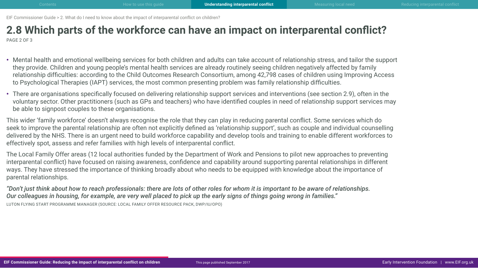### **2.8 Which parts of the workforce can have an impact on interparental conflict?** PAGE 2 OF 3

- Mental health and emotional wellbeing services for both children and adults can take account of relationship stress, and tailor the support they provide. Children and young people's mental health services are already routinely seeing children negatively affected by family relationship difficulties: according to the [Child Outcomes Research Consortium](http://www.corc.uk.net/media/1172/201612child_and_parent-reported_outcomes_and_experience_from_child_and-young_peoples_mental_health_services_2011-2015.pdf), among 42,798 cases of children using Improving Access to Psychological Therapies (IAPT) services, the most common presenting problem was family relationship difficulties.
- There are organisations specifically focused on delivering relationship support services and interventions (see section 2.9), often in the voluntary sector. Other practitioners (such as GPs and teachers) who have identified couples in need of relationship support services may be able to signpost couples to these organisations.
- This wider 'family workforce' doesn't always recognise the role that they can play in reducing parental conflict. Some services which do seek to improve the parental relationship are often not explicitly defined as 'relationship support', such as couple and individual counselling delivered by the NHS. There is an urgent need to build workforce capability and develop tools and training to enable different workforces to effectively spot, assess and refer families with high levels of interparental conflict.
- The Local Family Offer areas (12 local authorities funded by the Department of Work and Pensions to pilot new approaches to preventing interparental conflict) have focused on raising awareness, confidence and capability around supporting parental relationships in different ways. They have stressed the importance of thinking broadly about who needs to be equipped with knowledge about the importance of parental relationships.
- *"Don't just think about how to reach professionals: there are lots of other roles for whom it is important to be aware of relationships. Our colleagues in housing, for example, are very well placed to pick up the early signs of things going wrong in families."*  LUTON FLYING START PROGRAMME MANAGER (SOURCE: LOCAL FAMILY OFFER RESOURCE PACK, DWP/IU/OPO)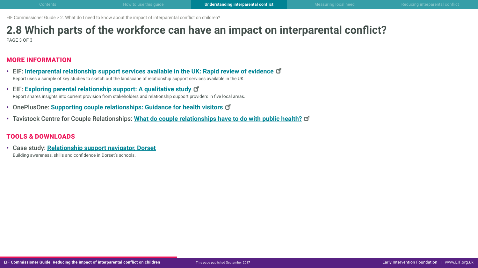# **2.8 Which parts of the workforce can have an impact on interparental conflict?**

PAGE 3 OF 3

### MORE INFORMATION

- EIF: **[Interparental relationship support services available in the UK: Rapid review of evidenc](http://www.eif.org.uk/publication/inter-parental-relationship-support-services-available-in-the-uk-rapid-review-of-evidence/)e** Report uses a sample of key studies to sketch out the landscape of relationship support services available in the UK.
- EIF: **[Exploring parental relationship support: A qualitative study](http://www.eif.org.uk/publication/exploring-parental-relationship-support-a-qualitative-study/)** Report shares insights into current provision from stakeholders and relationship support providers in five local areas.
- OnePlusOne: **[Supporting couple relationships: Guidance for health visitor](https://static1.squarespace.com/static/57babc91f5e231469b47c954/t/58860719ebbd1a30e9986e3b/1485178655692/HV-guidance.pdf)s**
- Tavistock Centre for Couple Relationships: **[What do couple relationships have to do with public health](http://tavistockrelationships.ac.uk/images/uploads/policy_use/policybriefings/TCCR_public_health_briefing.pdf)?**

### TOOLS & DOWNLOADS

• Case study: **Relationship support navigator, Dorset** Building awareness, skills and confidence in Dorset's schools.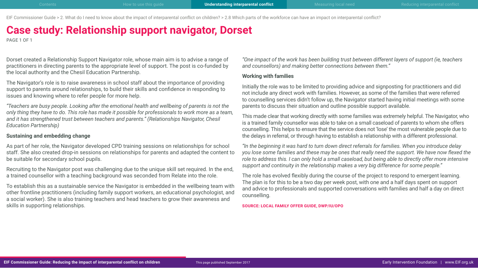EIF Commissioner Guide > 2. What do I need to know about the impact of interparental conflict on children? > 2.8 Which parts of the workforce can have an impact on interparental conflict?

### **Case study: Relationship support navigator, Dorset**

PAGE 1 OF 1

Dorset created a Relationship Support Navigator role, whose main aim is to advise a range of practitioners in directing parents to the appropriate level of support. The post is co-funded by the local authority and the Chesil Education Partnership.

The Navigator's role is to raise awareness in school staff about the importance of providing support to parents around relationships, to build their skills and confidence in responding to issues and knowing where to refer people for more help.

*"Teachers are busy people. Looking after the emotional health and wellbeing of parents is not the only thing they have to do. This role has made it possible for professionals to work more as a team, and it has strengthened trust between teachers and parents." (Relationships Navigator, Chesil Education Partnership)*

#### **Sustaining and embedding change**

As part of her role, the Navigator developed CPD training sessions on relationships for school staff. She also created drop-in sessions on relationships for parents and adapted the content to be suitable for secondary school pupils.

Recruiting to the Navigator post was challenging due to the unique skill set required. In the end, a trained counsellor with a teaching background was seconded from Relate into the role.

To establish this as a sustainable service the Navigator is embedded in the wellbeing team with other frontline practitioners (including family support workers, an educational psychologist, and a social worker). She is also training teachers and head teachers to grow their awareness and skills in supporting relationships.

*"One impact of the work has been building trust between different layers of support (ie, teachers and counsellors) and making better connections between them."*

#### **Working with families**

Initially the role was to be limited to providing advice and signposting for practitioners and did not include any direct work with families. However, as some of the families that were referred to counselling services didn't follow up, the Navigator started having initial meetings with some parents to discuss their situation and outline possible support available.

This made clear that working directly with some families was extremely helpful. The Navigator, who is a trained family counsellor was able to take on a small caseload of parents to whom she offers counselling. This helps to ensure that the service does not 'lose' the most vulnerable people due to the delays in referral, or through having to establish a relationship with a different professional.

*"In the beginning it was hard to turn down direct referrals for families. When you introduce delay you lose some families and these may be ones that really need the support. We have now flexed the role to address this. I can only hold a small caseload, but being able to directly offer more intensive support and continuity in the relationship makes a very big difference for some people."*

The role has evolved flexibly during the course of the project to respond to emergent learning. The plan is for this to be a two day per week post, with one and a half days spent on support and advice to professionals and supported conversations with families and half a day on direct counselling.

**SOURCE: LOCAL FAMILY OFFER GUIDE, DWP/IU/OPO**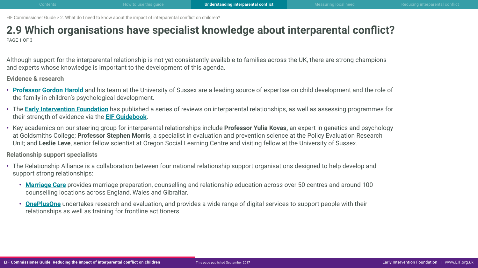### <span id="page-23-0"></span>**2.9 Which organisations have specialist knowledge about interparental conflict?** PAGE 1 OF 3

Although support for the interparental relationship is not yet consistently available to families across the UK, there are strong champions and experts whose knowledge is important to the development of this agenda.

**Evidence & research**

- **[Professor Gordon Harold](http://www.sussex.ac.uk/profiles/325429)** and his team at the University of Sussex are a leading source of expertise on child development and the role of the family in children's psychological development.
- The **[Early Intervention Foundation](http://www.eif.org.uk/inter-parental-relationships/)** has published a series of reviews on interparental relationships, as well as assessing programmes for their strength of evidence via the **[EIF Guidebook](http://guidebook.eif.org.uk/)**.
- Key academics on our steering group for interparental relationships include **Professor Yulia Kovas,** an expert in genetics and psychology at Goldsmiths College; **Professor Stephen Morris**, a specialist in evaluation and prevention science at the Policy Evaluation Research Unit; and **Leslie Leve**, senior fellow scientist at Oregon Social Learning Centre and visiting fellow at the University of Sussex.

**Relationship support specialists**

- The Relationship Alliance is a collaboration between four national relationship support organisations designed to help develop and support strong relationships:
	- **[Marriage Care](http://www.marriagecare.org.uk/)** provides marriage preparation, counselling and relationship education across over 50 centres and around 100 counselling locations across England, Wales and Gibraltar.
	- **[OnePlusOne](http://www.oneplusone.space/)** undertakes research and evaluation, and provides a wide range of digital services to support people with their relationships as well as training for frontline actitioners.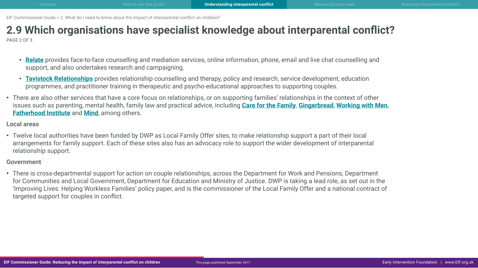# **2.9 Which organisations have specialist knowledge about interparental conflict?**

PAGE 2 OF 3

- **[Relate](https://www.relate.org.uk/)** provides face-to-face counselling and mediation services, online information, phone, email and live chat counselling and support, and also undertakes research and campaigning.
- **[Tavistock Relationships](http://www.tavistockrelationships.org/)** provides relationship counselling and therapy, policy and research, service development, education programmes, and practitioner training in therapeutic and psycho-educational approaches to supporting couples.
- There are also other services that have a core focus on relationships, or on supporting families' relationships in the context of other issues such as parenting, mental health, family law and practical advice, including **[Care for the Family](https://www.careforthefamily.org.uk/)**, **[Gingerbread](https://gingerbread.org.uk/)**, **[Working with Men](http://workingwithmen.org/)**, **[Fatherhood Institute](http://www.fatherhoodinstitute.org/)** and **[Mind](http://www.mind.org.uk/)**, among others.

#### **Local areas**

• Twelve local authorities have been funded by DWP as Local Family Offer sites, to make relationship support a part of their local arrangements for family support. Each of these sites also has an advocacy role to support the wider development of interparental relationship support.

#### **Government**

• There is cross-departmental support for action on couple relationships, across the Department for Work and Pensions, Department for Communities and Local Government, Department for Education and Ministry of Justice. DWP is taking a lead role, as set out in the 'Improving Lives: Helping Workless Families' policy paper, and is the commissioner of the Local Family Offer and a national contract of targeted support for couples in conflict.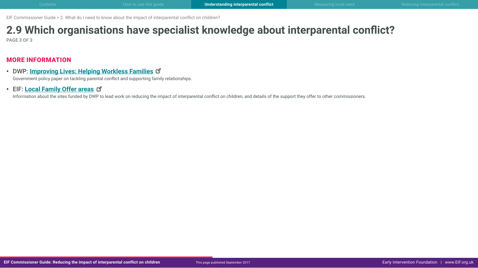# **2.9 Which organisations have specialist knowledge about interparental conflict?**

PAGE 3 OF 3

### MORE INFORMATION

- DWP: **[Improving Lives: Helping Workless Familie](https://www.gov.uk/government/uploads/system/uploads/attachment_data/file/621364/improving-lives-helping-workless-families-web-version.pdf)s** Government policy paper on tackling parental conflict and supporting family relationships.
- EIF: **[Local Family Offer areas](http://www.eif.org.uk/local-family-offer-network/)**

Information about the sites funded by DWP to lead work on reducing the impact of interparental conflict on children, and details of the support they offer to other commissioners.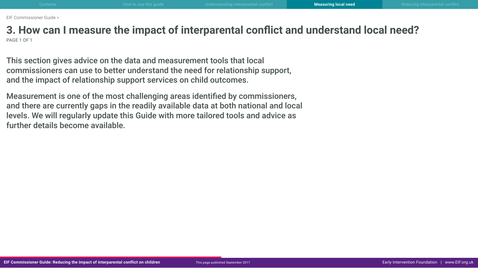<span id="page-26-0"></span>**3. How can I measure the impact of interparental conflict and understand local need?** PAGE 1 OF 1

This section gives advice on the data and measurement tools that local commissioners can use to better understand the need for relationship support, and the impact of relationship support services on child outcomes.

Measurement is one of the most challenging areas identified by commissioners, and there are currently gaps in the readily available data at both national and local levels. We will regularly update this Guide with more tailored tools and advice as further details become available.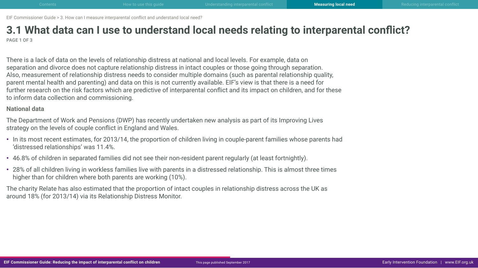### <span id="page-27-0"></span>**3.1 What data can I use to understand local needs relating to interparental conflict?** PAGE 1 OF 3

There is a lack of data on the levels of relationship distress at national and local levels. For example, data on separation and divorce does not capture relationship distress in intact couples or those going through separation. Also, measurement of relationship distress needs to consider multiple domains (such as parental relationship quality, parent mental health and parenting) and data on this is not currently available. EIF's view is that there is a need for further research on the risk factors which are predictive of interparental conflict and its impact on children, and for these to inform data collection and commissioning.

#### **National data**

The Department of Work and Pensions (DWP) has recently undertaken new analysis as part of its Improving Lives strategy on the levels of couple conflict in England and Wales.

- In its most recent estimates, for 2013/14, the proportion of children living in couple-parent families whose parents had 'distressed relationships' was 11.4%.
- 46.8% of children in separated families did not see their non-resident parent regularly (at least fortnightly).
- 28% of all children living in workless families live with parents in a distressed relationship. This is almost three times higher than for children where both parents are working (10%).

The charity Relate has also estimated that the proportion of intact couples in relationship distress across the UK as around 18% (for 2013/14) via its Relationship Distress Monitor.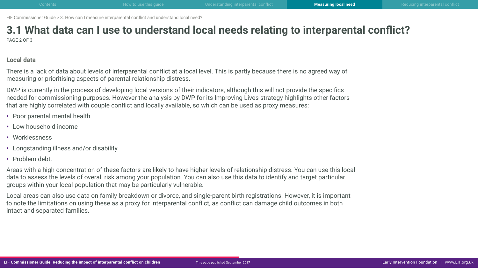# **3.1 What data can I use to understand local needs relating to interparental conflict?**

PAGE 2 OF 3

### **Local data**

There is a lack of data about levels of interparental conflict at a local level. This is partly because there is no agreed way of measuring or prioritising aspects of parental relationship distress.

DWP is currently in the process of developing local versions of their indicators, although this will not provide the specifics needed for commissioning purposes. However the analysis by DWP for its Improving Lives strategy highlights other factors that are highly correlated with couple conflict and locally available, so which can be used as proxy measures:

- Poor parental mental health
- Low household income
- Worklessness
- Longstanding illness and/or disability
- Problem debt.

Areas with a high concentration of these factors are likely to have higher levels of relationship distress. You can use this local data to assess the levels of overall risk among your population. You can also use this data to identify and target particular groups within your local population that may be particularly vulnerable.

Local areas can also use data on family breakdown or divorce, and single-parent birth registrations. However, it is important to note the limitations on using these as a proxy for interparental conflict, as conflict can damage child outcomes in both intact and separated families.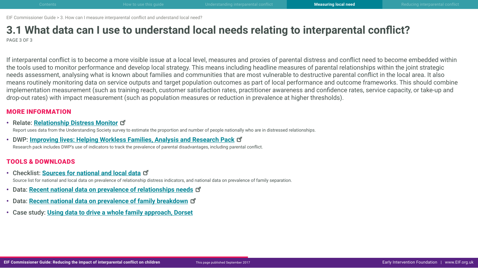### **3.1 What data can I use to understand local needs relating to interparental conflict?** PAGE 3 OF 3

If interparental conflict is to become a more visible issue at a local level, measures and proxies of parental distress and conflict need to become embedded within the tools used to monitor performance and develop local strategy. This means including headline measures of parental relationships within the joint strategic needs assessment, analysing what is known about families and communities that are most vulnerable to destructive parental conflict in the local area. It also means routinely monitoring data on service outputs and target population outcomes as part of local performance and outcome frameworks. This should combine implementation measurement (such as training reach, customer satisfaction rates, practitioner awareness and confidence rates, service capacity, or take-up and drop-out rates) with impact measurement (such as population measures or reduction in prevalence at higher thresholds).

### MORE INFORMATION

• Relate: **[Relationship Distress Monito](https://www.relate.org.uk/sites/default/files/relationship_distress_monitor_0.pdf)r**

Report uses data from the Understanding Society survey to estimate the proportion and number of people nationally who are in distressed relationships.

• DWP: **[Improving lives: Helping Workless Families, Analysis and Research Pac](https://www.gov.uk/government/publications/improving-lives-helping-workless-families-evidence-base)k** Research pack includes DWP's use of indicators to track the prevalence of parental disadvantages, including parental conflict.

### TOOLS & DOWNLOADS

- Checklist: **[Sources for national and local data](http://www.eif.org.uk/wp-content/uploads/2017/09/CG-IPR_3-1_data-sources.pdf)** Source list for national and local data on prevalence of relationship distress indicators, and national data on prevalence of family separation.
- Data: **[Recent national data on prevalence of relationships need](http://www.eif.org.uk/wp-content/uploads/2017/09/CG-IPR_3-1_data-relationship-needs.pdf)s**
- Data: **[Recent national data on prevalence of family breakdow](http://www.eif.org.uk/wp-content/uploads/2017/09/CG-IPR_3-1_data-family-breakdown.pdf)n**
- Case study: **Using data to drive a whole family approach, Dorset**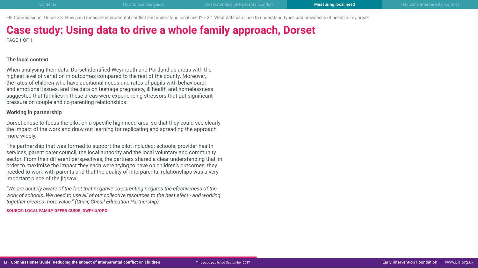EIF Commissioner Guide > 3. How can I measure interparental conflict and understand local need? > 3.1 What data can I use to understand types and prevalence of needs in my area?

## **Case study: Using data to drive a whole family approach, Dorset**

PAGE 1 OF 1

#### **The local context**

When analysing their data, Dorset identified Weymouth and Portland as areas with the highest level of variation in outcomes compared to the rest of the county. Moreover, the rates of children who have additional needs and rates of pupils with behavioural and emotional issues, and the data on teenage pregnancy, ill health and homelessness suggested that families in these areas were experiencing stressors that put significant pressure on couple and co-parenting relationships.

#### **Working in partnership**

Dorset chose to focus the pilot on a specific high-need area, so that they could see clearly the impact of the work and draw out learning for replicating and spreading the approach more widely.

The partnership that was formed to support the pilot included: schools, provider health services, parent carer council, the local authority and the local voluntary and community sector. From their different perspectives, the partners shared a clear understanding that, in order to maximise the impact they each were trying to have on children's outcomes, they needed to work with parents and that the quality of interparental relationships was a very important piece of the jigsaw.

*"We are acutely aware of the fact that negative co-parenting negates the efectiveness of the work of schools. We need to use all of our collective resources to the best efect - and working together creates more value." (Chair, Chesil Education Partnership)*

**SOURCE: LOCAL FAMILY OFFER GUIDE, DWP/IU/OPO**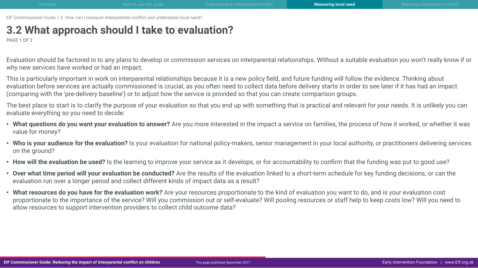## <span id="page-31-0"></span>**3.2 What approach should I take to evaluation?**

PAGE 1 OF 2

Evaluation should be factored in to any plans to develop or commission services on interparental relationships. Without a suitable evaluation you won't really know if or why new services have worked or had an impact.

This is particularly important in work on interparental relationships because it is a new policy field, and future funding will follow the evidence. Thinking about evaluation before services are actually commissioned is crucial, as you often need to collect data before delivery starts in order to see later if it has had an impact (comparing with the 'pre-delivery baseline') or to adjust how the service is provided so that you can create comparison groups.

The best place to start is to clarify the purpose of your evaluation so that you end up with something that is practical and relevant for your needs. It is unlikely you can evaluate everything so you need to decide:

- **What questions do you want your evaluation to answer?** Are you more interested in the impact a service on families, the process of how it worked, or whether it was value for money?
- **Who is your audience for the evaluation?** Is your evaluation for national policy-makers, senior management in your local authority, or practitioners delivering services on the ground?
- How will the evaluation be used? Is the learning to improve your service as it develops, or for accountability to confirm that the funding was put to good use?
- **Over what time period will your evaluation be conducted?** Are the results of the evaluation linked to a short-term schedule for key funding decisions, or can the evaluation run over a longer period and collect different kinds of impact data as a result?
- **What resources do you have for the evaluation work?** Are your resources proportionate to the kind of evaluation you want to do, and is your evaluation cost proportionate to the importance of the service? Will you commission out or self-evaluate? Will pooling resources or staff help to keep costs low? Will you need to allow resources to support intervention providers to collect child outcome data?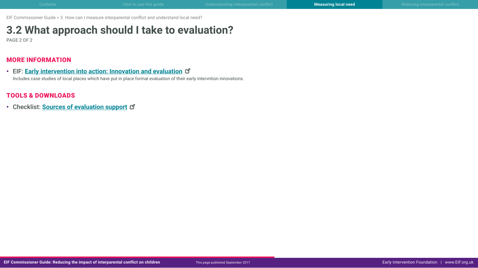## **3.2 What approach should I take to evaluation?**

PAGE 2 OF 2

### MORE INFORMATION

• EIF: **Early intervention into action: Innovation and evaluation** Includes case studies of local places which have put in place formal evaluation of their early intervntion innovations.

### TOOLS & DOWNLOADS

• Checklist: **[Sources of evaluation suppor](http://www.eif.org.uk/wp-content/uploads/2017/09/CG-IPR_3-2_evaluation-support.pdf)t**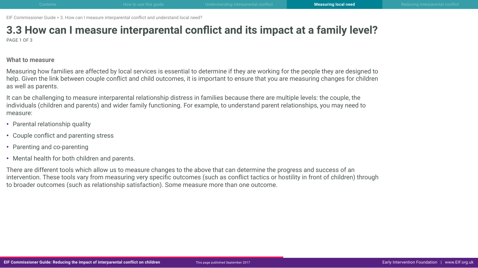# <span id="page-33-0"></span>**3.3 How can I measure interparental conflict and its impact at a family level?**

PAGE 1 OF 3

#### **What to measure**

Measuring how families are affected by local services is essential to determine if they are working for the people they are designed to help. Given the link between couple conflict and child outcomes, it is important to ensure that you are measuring changes for children as well as parents.

It can be challenging to measure interparental relationship distress in families because there are multiple levels: the couple, the individuals (children and parents) and wider family functioning. For example, to understand parent relationships, you may need to measure:

- Parental relationship quality
- Couple conflict and parenting stress
- Parenting and co-parenting
- Mental health for both children and parents.

There are different tools which allow us to measure changes to the above that can determine the progress and success of an intervention. These tools vary from measuring very specific outcomes (such as conflict tactics or hostility in front of children) through to broader outcomes (such as relationship satisfaction). Some measure more than one outcome.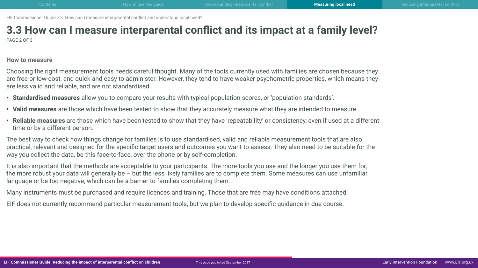# **3.3 How can I measure interparental conflict and its impact at a family level?**

PAGE 2 OF 3

#### **How to measure**

Choosing the right measurement tools needs careful thought. Many of the tools currently used with families are chosen because they are free or low-cost, and quick and easy to administer. However, they tend to have weaker psychometric properties, which means they are less valid and reliable, and are not standardised.

- **Standardised measures** allow you to compare your results with typical population scores, or 'population standards'.
- **Valid measures** are those which have been tested to show that they accurately measure what they are intended to measure.
- **Reliable measures** are those which have been tested to show that they have 'repeatability' or consistency, even if used at a different time or by a different person.

The best way to check how things change for families is to use standardised, valid and reliable measurement tools that are also practical, relevant and designed for the specific target users and outcomes you want to assess. They also need to be suitable for the way you collect the data, be this face-to-face, over the phone or by self-completion.

It is also important that the methods are acceptable to your participants. The more tools you use and the longer you use them for, the more robust your data will generally be – but the less likely families are to complete them. Some measures can use unfamiliar language or be too negative, which can be a barrier to families completing them.

Many instruments must be purchased and require licences and training. Those that are free may have conditions attached.

EIF does not currently recommend particular measurement tools, but we plan to develop specific guidance in due course.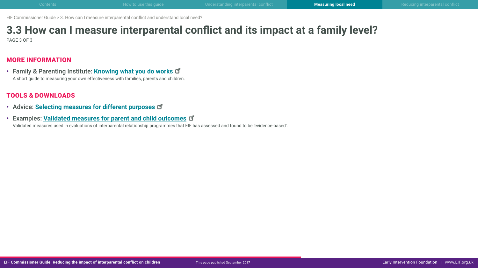# **3.3 How can I measure interparental conflict and its impact at a family level?**

PAGE 3 OF 3

### MORE INFORMATION

• Family & Parenting Institute: **[Knowing what you do work](http://www.careforthefamily.org.uk/wp-content/uploads/2014/06/Knowing-what-you-do-works.pdf)s** A short guide to measuring your own effectiveness with families, parents and children.

### TOOLS & DOWNLOADS

- Advice: **[Selecting measures for different purposes](http://www.eif.org.uk/wp-content/uploads/2017/09/CG-IPR_3-3_selecting-measures.pdf)**
- Examples: **[Validated measures for parent and child outcomes](http://www.eif.org.uk/wp-content/uploads/2017/09/CG-IPR_3-3_examples-validated-measures.pdf)**

Validated measures used in evaluations of interparental relationship programmes that EIF has assessed and found to be 'evidence-based'.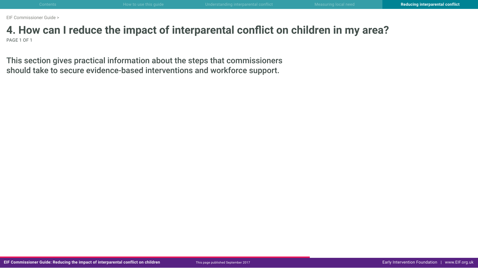### <span id="page-36-0"></span>**4. How can I reduce the impact of interparental conflict on children in my area?** PAGE 1 OF 1

This section gives practical information about the steps that commissioners should take to secure evidence-based interventions and workforce support.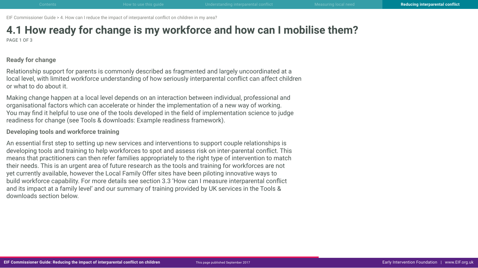# <span id="page-37-0"></span>**4.1 How ready for change is my workforce and how can I mobilise them?**

PAGE 1 OF 3

### **Ready for change**

Relationship support for parents is commonly described as fragmented and largely uncoordinated at a local level, with limited workforce understanding of how seriously interparental conflict can affect children or what to do about it.

Making change happen at a local level depends on an interaction between individual, professional and organisational factors which can accelerate or hinder the implementation of a new way of working. You may find it helpful to use one of the tools developed in the field of implementation science to judge readiness for change (see Tools & downloads: Example readiness framework).

**Developing tools and workforce training**

An essential first step to setting up new services and interventions to support couple relationships is developing tools and training to help workforces to spot and assess risk on inter-parental conflict. This means that practitioners can then refer families appropriately to the right type of intervention to match their needs. This is an urgent area of future research as the tools and training for workforces are not yet currently available, however the Local Family Offer sites have been piloting innovative ways to build workforce capability. For more details see section 3.3 'How can I measure interparental conflict and its impact at a family level' and our summary of training provided by UK services in the Tools & downloads section below.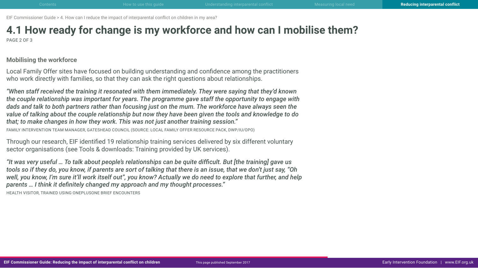# **4.1 How ready for change is my workforce and how can I mobilise them?**

PAGE 2 OF 3

### **Mobilising the workforce**

Local Family Offer sites have focused on building understanding and confidence among the practitioners who work directly with families, so that they can ask the right questions about relationships.

*"When staff received the training it resonated with them immediately. They were saying that they'd known the couple relationship was important for years. The programme gave staff the opportunity to engage with dads and talk to both partners rather than focusing just on the mum. The workforce have always seen the value of talking about the couple relationship but now they have been given the tools and knowledge to do that; to make changes in how they work. This was not just another training session."* 

FAMILY INTERVENTION TEAM MANAGER, GATESHEAD COUNCIL (SOURCE: LOCAL FAMILY OFFER RESOURCE PACK, DWP/IU/OPO)

Through our research, EIF identified 19 relationship training services delivered by six different voluntary sector organisations (see Tools & downloads: Training provided by UK services).

*"It was very useful … To talk about people's relationships can be quite difficult. But [the training] gave us tools so if they do, you know, if parents are sort of talking that there is an issue, that we don't just say, "Oh well, you know, I'm sure it'll work itself out", you know? Actually we do need to explore that further, and help parents … I think it definitely changed my approach and my thought processes."* 

HEALTH VISITOR, TRAINED USING ONEPLUSONE BRIEF ENCOUNTERS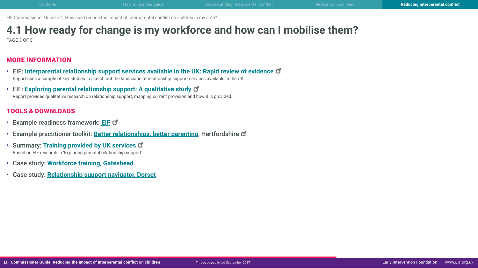# **4.1 How ready for change is my workforce and how can I mobilise them?**

PAGE 3 OF 3

### MORE INFORMATION

- EIF: **[Interparental relationship support services available in the UK: Rapid review of evidenc](http://www.eif.org.uk/publication/inter-parental-relationship-support-services-available-in-the-uk-rapid-review-of-evidence/)e** Report uses a sample of key studies to sketch out the landscape of relationship support services available in the UK.
- EIF: **[Exploring parental relationship support: A qualitative study](http://www.eif.org.uk/publication/exploring-parental-relationship-support-a-qualitative-study/)** Report provides qualitative research on relationship support, mapping current provision and how it is provided.

### TOOLS & DOWNLOADS

- Example readiness framework: **[EIF](http://www.eif.org.uk/wp-content/uploads/2017/09/CG-IPR_4-1_readiness-framework.pdf)**
- Example practitioner toolkit: **[Better relationships, better parenting](http://search3.openobjects.com/mediamanager/herts/enterprise/files/better_relationships_tool_kit.pdf)**, Hertfordshire
- Summary: **[Training provided by UK service](http://www.eif.org.uk/wp-content/uploads/2017/09/CG-IPR_4-1_training-services.pdf)s** Based on EIF research in 'Exploring parental relationship support'
- Case study: **Workforce training, Gateshead**
- Case study: **Relationship support navigator, Dorset**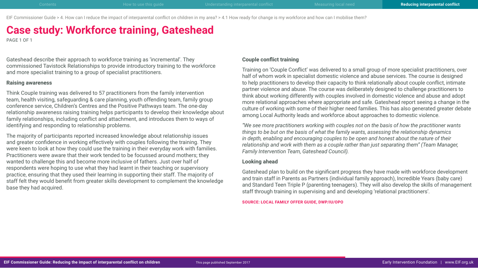EIF Commissioner Guide > 4. How can I reduce the impact of interparental conflict on children in my area? > 4.1 How ready for change is my workforce and how can I mobilise them?

## **Case study: Workforce training, Gateshead**

PAGE 1 OF 1

Gateshead describe their approach to workforce training as 'incremental'. They commissioned Tavistock Relationships to provide introductory training to the workforce and more specialist training to a group of specialist practitioners.

#### **Raising awareness**

Think Couple training was delivered to 57 practitioners from the family intervention team, health visiting, safeguarding & care planning, youth offending team, family group conference service, Children's Centres and the Positive Pathways team. The one-day relationship awareness raising training helps participants to develop their knowledge about family relationships, including conflict and attachment, and introduces them to ways of identifying and responding to relationship problems.

The majority of participants reported increased knowledge about relationship issues and greater confidence in working effectively with couples following the training. They were keen to look at how they could use the training in their everyday work with families. Practitioners were aware that their work tended to be focussed around mothers; they wanted to challenge this and become more inclusive of fathers. Just over half of respondents were hoping to use what they had learnt in their teaching or supervisory practice, ensuring that they used their learning in supporting their staff. The majority of staff felt they would benefit from greater skills development to complement the knowledge base they had acquired.

#### **Couple conflict training**

Training on 'Couple Conflict' was delivered to a small group of more specialist practitioners, over half of whom work in specialist domestic violence and abuse services. The course is designed to help practitioners to develop their capacity to think relationally about couple conflict, intimate partner violence and abuse. The course was deliberately designed to challenge practitioners to think about working differently with couples involved in domestic violence and abuse and adopt more relational approaches where appropriate and safe. Gateshead report seeing a change in the culture of working with some of their higher need families. This has also generated greater debate among Local Authority leads and workforce about approaches to domestic violence.

*"We see more practitioners working with couples not on the basis of how the practitioner wants things to be but on the basis of what the family wants, assessing the relationship dynamics in depth, enabling and encouraging couples to be open and honest about the nature of their relationship and work with them as a couple rather than just separating them" (Team Manager, Family Intervention Team, Gateshead Council).*

#### **Looking ahead**

Gateshead plan to build on the significant progress they have made with workforce development and train staff in Parents as Partners (individual family approach), Incredible Years (baby care) and Standard Teen Triple P (parenting teenagers). They will also develop the skills of management staff through training in supervising and and developing 'relational practitioners'.

**SOURCE: LOCAL FAMILY OFFER GUIDE, DWP/IU/OPO**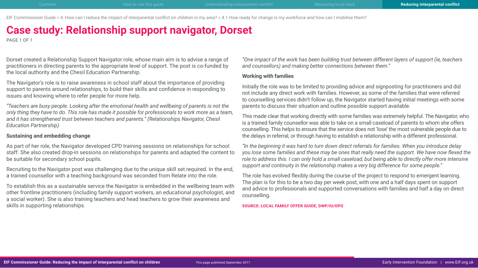EIF Commissioner Guide > 4. How can I reduce the impact of interparental conflict on children in my area? > 4.1 How ready for change is my workforce and how can I mobilise them?

### **Case study: Relationship support navigator, Dorset**

PAGE 1 OF 1

Dorset created a Relationship Support Navigator role, whose main aim is to advise a range of practitioners in directing parents to the appropriate level of support. The post is co-funded by the local authority and the Chesil Education Partnership.

The Navigator's role is to raise awareness in school staff about the importance of providing support to parents around relationships, to build their skills and confidence in responding to issues and knowing where to refer people for more help.

*"Teachers are busy people. Looking after the emotional health and wellbeing of parents is not the only thing they have to do. This role has made it possible for professionals to work more as a team, and it has strengthened trust between teachers and parents." (Relationships Navigator, Chesil Education Partnership)*

#### **Sustaining and embedding change**

As part of her role, the Navigator developed CPD training sessions on relationships for school staff. She also created drop-in sessions on relationships for parents and adapted the content to be suitable for secondary school pupils.

Recruiting to the Navigator post was challenging due to the unique skill set required. In the end, a trained counsellor with a teaching background was seconded from Relate into the role.

To establish this as a sustainable service the Navigator is embedded in the wellbeing team with other frontline practitioners (including family support workers, an educational psychologist, and a social worker). She is also training teachers and head teachers to grow their awareness and skills in supporting relationships.

*"One impact of the work has been building trust between different layers of support (ie, teachers and counsellors) and making better connections between them."*

#### **Working with families**

Initially the role was to be limited to providing advice and signposting for practitioners and did not include any direct work with families. However, as some of the families that were referred to counselling services didn't follow up, the Navigator started having initial meetings with some parents to discuss their situation and outline possible support available.

This made clear that working directly with some families was extremely helpful. The Navigator, who is a trained family counsellor was able to take on a small caseload of parents to whom she offers counselling. This helps to ensure that the service does not 'lose' the most vulnerable people due to the delays in referral, or through having to establish a relationship with a different professional.

*"In the beginning it was hard to turn down direct referrals for families. When you introduce delay you lose some families and these may be ones that really need the support. We have now flexed the role to address this. I can only hold a small caseload, but being able to directly offer more intensive support and continuity in the relationship makes a very big difference for some people."*

The role has evolved flexibly during the course of the project to respond to emergent learning. The plan is for this to be a two day per week post, with one and a half days spent on support and advice to professionals and supported conversations with families and half a day on direct counselling.

**SOURCE: LOCAL FAMILY OFFER GUIDE, DWP/IU/OPO**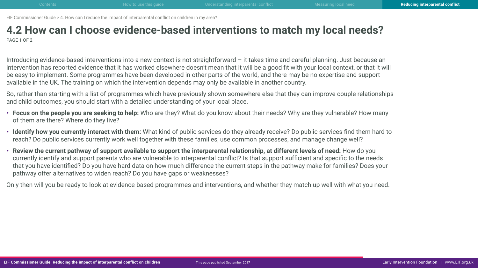### <span id="page-42-0"></span>**4.2 How can I choose evidence-based interventions to match my local needs?** PAGE 1 OF 2

Introducing evidence-based interventions into a new context is not straightforward – it takes time and careful planning. Just because an intervention has reported evidence that it has worked elsewhere doesn't mean that it will be a good fit with your local context, or that it will be easy to implement. Some programmes have been developed in other parts of the world, and there may be no expertise and support available in the UK. The training on which the intervention depends may only be available in another country.

So, rather than starting with a list of programmes which have previously shown somewhere else that they can improve couple relationships and child outcomes, you should start with a detailed understanding of your local place.

- **Focus on the people you are seeking to help:** Who are they? What do you know about their needs? Why are they vulnerable? How many of them are there? Where do they live?
- **Identify how you currently interact with them:** What kind of public services do they already receive? Do public services find them hard to reach? Do public services currently work well together with these families, use common processes, and manage change well?
- **Review the current pathway of support available to support the interparental relationship, at different levels of need:** How do you currently identify and support parents who are vulnerable to interparental conflict? Is that support sufficient and specific to the needs that you have identified? Do you have hard data on how much difference the current steps in the pathway make for families? Does your pathway offer alternatives to widen reach? Do you have gaps or weaknesses?

Only then will you be ready to look at evidence-based programmes and interventions, and whether they match up well with what you need.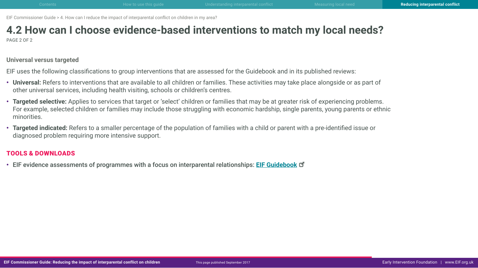# **4.2 How can I choose evidence-based interventions to match my local needs?**

PAGE 2 OF 2

**Universal versus targeted**

EIF uses the following classifications to group interventions that are assessed for the Guidebook and in its published reviews:

- **Universal:** Refers to interventions that are available to all children or families. These activities may take place alongside or as part of other universal services, including health visiting, schools or children's centres.
- **Targeted selective:** Applies to services that target or 'select' children or families that may be at greater risk of experiencing problems. For example, selected children or families may include those struggling with economic hardship, single parents, young parents or ethnic minorities.
- **Targeted indicated:** Refers to a smaller percentage of the population of families with a child or parent with a pre-identified issue or diagnosed problem requiring more intensive support.

### TOOLS & DOWNLOADS

• EIF evidence assessments of programmes with a focus on interparental relationships: **[EIF Guidebook](http://guidebook.eif.org.uk/search?search=interparental+relationships)**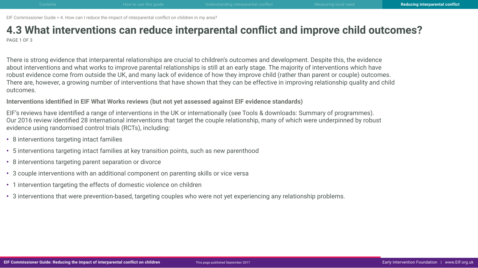### <span id="page-44-0"></span>**4.3 What interventions can reduce interparental conflict and improve child outcomes?** PAGE 1 OF 3

There is strong evidence that interparental relationships are crucial to children's outcomes and development. Despite this, the evidence about interventions and what works to improve parental relationships is still at an early stage. The majority of interventions which have robust evidence come from outside the UK, and many lack of evidence of how they improve child (rather than parent or couple) outcomes. There are, however, a growing number of interventions that have shown that they can be effective in improving relationship quality and child outcomes.

**Interventions identified in EIF What Works reviews (but not yet assessed against EIF evidence standards)**

EIF's reviews have identified a range of interventions in the UK or internationally (see Tools & downloads: Summary of programmes). Our 2016 review identified 28 international interventions that target the couple relationship, many of which were underpinned by robust evidence using randomised control trials (RCTs), including:

- 8 interventions targeting intact families
- 5 interventions targeting intact families at key transition points, such as new parenthood
- 8 interventions targeting parent separation or divorce
- 3 couple interventions with an additional component on parenting skills or vice versa
- 1 intervention targeting the effects of domestic violence on children
- 3 interventions that were prevention-based, targeting couples who were not yet experiencing any relationship problems.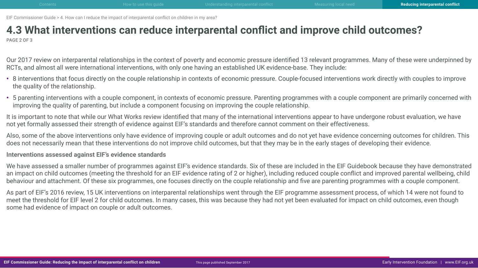### **4.3 What interventions can reduce interparental conflict and improve child outcomes?** PAGE 2 OF 3

Our 2017 review on interparental relationships in the context of poverty and economic pressure identified 13 relevant programmes. Many of these were underpinned by RCTs, and almost all were international interventions, with only one having an established UK evidence-base. They include:

- 8 interventions that focus directly on the couple relationship in contexts of economic pressure. Couple-focused interventions work directly with couples to improve the quality of the relationship.
- 5 parenting interventions with a couple component, in contexts of economic pressure. Parenting programmes with a couple component are primarily concerned with improving the quality of parenting, but include a component focusing on improving the couple relationship.

It is important to note that while our What Works review identified that many of the international interventions appear to have undergone robust evaluation, we have not yet formally assessed their strength of evidence against EIF's standards and therefore cannot comment on their effectiveness.

Also, some of the above interventions only have evidence of improving couple or adult outcomes and do not yet have evidence concerning outcomes for children. This does not necessarily mean that these interventions do not improve child outcomes, but that they may be in the early stages of developing their evidence.

### **Interventions assessed against EIF's evidence standards**

We have assessed a smaller number of programmes against EIF's evidence standards. Six of these are included in the EIF Guidebook because they have demonstrated an impact on child outcomes (meeting the threshold for an EIF evidence rating of 2 or higher), including reduced couple conflict and improved parental wellbeing, child behaviour and attachment. Of these six programmes, one focuses directly on the couple relationship and five are parenting programmes with a couple component.

As part of EIF's 2016 review, 15 UK interventions on interparental relationships went through the EIF programme assessment process, of which 14 were not found to meet the threshold for EIF level 2 for child outcomes. In many cases, this was because they had not yet been evaluated for impact on child outcomes, even though some had evidence of impact on couple or adult outcomes.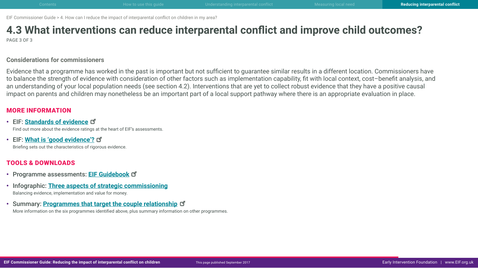# **4.3 What interventions can reduce interparental conflict and improve child outcomes?**

PAGE 3 OF 3

#### **Considerations for commissioners**

Evidence that a programme has worked in the past is important but not sufficient to guarantee similar results in a different location. Commissioners have to balance the strength of evidence with consideration of other factors such as implementation capability, fit with local context, cost–benefit analysis, and an understanding of your local population needs (see section 4.2). Interventions that are yet to collect robust evidence that they have a positive causal impact on parents and children may nonetheless be an important part of a local support pathway where there is an appropriate evaluation in place.

### MORE INFORMATION

• EIF: **[Standards of evidenc](http://guidebook.eif.org.uk/eif-evidence-standards)e** Find out more about the evidence ratings at the heart of EIF's assessments.

• EIF: **[What is 'good evidence'](http://www.eif.org.uk/wp-content/uploads/2017/09/CG-IPR_4-3_good-evidence.pdf)?** Briefing sets out the characteristics of rigorous evidence.

### TOOLS & DOWNLOADS

- Programme assessments: **[EIF Guidebook](http://guidebook.eif.org.uk/)**
- Infographic: **Three aspects of strategic commissioning** Balancing evidence, implementation and value for money.
- Summary: **[Programmes that target the couple relationship](http://www.eif.org.uk/wp-content/uploads/2017/09/CG-IPR_4-3_programmes-targeting-couple-relationship.pdf)**

More information on the six programmes identified above, plus summary information on other programmes.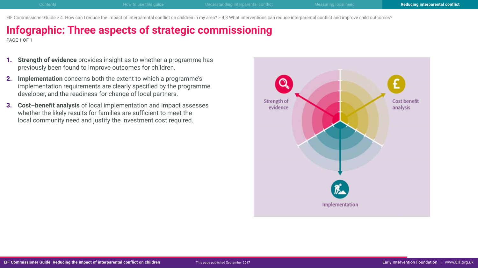EIF Commissioner Guide > 4. How can I reduce the impact of interparental conflict on children in my area? > 4.3 What interventions can reduce interparental conflict and improve child outcomes?

## **Infographic: Three aspects of strategic commissioning**

PAGE 1 OF 1

- 1. **Strength of evidence** provides insight as to whether a programme has previously been found to improve outcomes for children.
- 2. **Implementation** concerns both the extent to which a programme's implementation requirements are clearly specified by the programme developer, and the readiness for change of local partners.
- 3. **Cost–benefit analysis** of local implementation and impact assesses whether the likely results for families are sufficient to meet the local community need and justify the investment cost required.

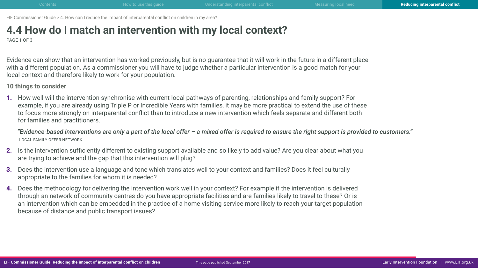## <span id="page-48-0"></span>**4.4 How do I match an intervention with my local context?**

PAGE 1 OF 3

Evidence can show that an intervention has worked previously, but is no guarantee that it will work in the future in a different place with a different population. As a commissioner you will have to judge whether a particular intervention is a good match for your local context and therefore likely to work for your population.

**10 things to consider**

1. How well will the intervention synchronise with current local pathways of parenting, relationships and family support? For example, if you are already using Triple P or Incredible Years with families, it may be more practical to extend the use of these to focus more strongly on interparental conflict than to introduce a new intervention which feels separate and different both for families and practitioners.

*"Evidence-based interventions are only a part of the local offer – a mixed offer is required to ensure the right support is provided to customers."* LOCAL FAMILY OFFER NETWORK

- 2. Is the intervention sufficiently different to existing support available and so likely to add value? Are you clear about what you are trying to achieve and the gap that this intervention will plug?
- 3. Does the intervention use a language and tone which translates well to your context and families? Does it feel culturally appropriate to the families for whom it is needed?
- 4. Does the methodology for delivering the intervention work well in your context? For example if the intervention is delivered through an network of community centres do you have appropriate facilities and are families likely to travel to these? Or is an intervention which can be embedded in the practice of a home visiting service more likely to reach your target population because of distance and public transport issues?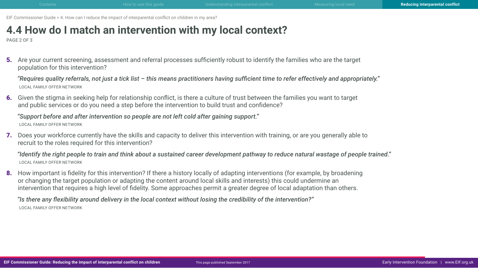## **4.4 How do I match an intervention with my local context?**

PAGE 2 OF 3

5. Are your current screening, assessment and referral processes sufficiently robust to identify the families who are the target population for this intervention?

*"Requires quality referrals, not just a tick list – this means practitioners having sufficient time to refer effectively and appropriately."*  LOCAL FAMILY OFFER NETWORK

6. Given the stigma in seeking help for relationship conflict, is there a culture of trust between the families you want to target and public services or do you need a step before the intervention to build trust and confidence?

*"Support before and after intervention so people are not left cold after gaining support."*  LOCAL FAMILY OFFER NETWORK

7. Does your workforce currently have the skills and capacity to deliver this intervention with training, or are you generally able to recruit to the roles required for this intervention?

*"Identify the right people to train and think about a sustained career development pathway to reduce natural wastage of people trained."*  LOCAL FAMILY OFFER NETWORK

8. How important is fidelity for this intervention? If there a history locally of adapting interventions (for example, by broadening or changing the target population or adapting the content around local skills and interests) this could undermine an intervention that requires a high level of fidelity. Some approaches permit a greater degree of local adaptation than others.

*"Is there any flexibility around delivery in the local context without losing the credibility of the intervention?"*  LOCAL FAMILY OFFER NETWORK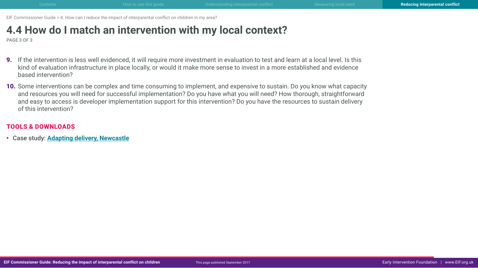## **4.4 How do I match an intervention with my local context?**

PAGE 3 OF 3

- 9. If the intervention is less well evidenced, it will require more investment in evaluation to test and learn at a local level. Is this kind of evaluation infrastructure in place locally, or would it make more sense to invest in a more established and evidence based intervention?
- 10. Some interventions can be complex and time consuming to implement, and expensive to sustain. Do you know what capacity and resources you will need for successful implementation? Do you have what you will need? How thorough, straightforward and easy to access is developer implementation support for this intervention? Do you have the resources to sustain delivery of this intervention?

#### TOOLS & DOWNLOADS

• Case study: **Adapting delivery, Newcastle**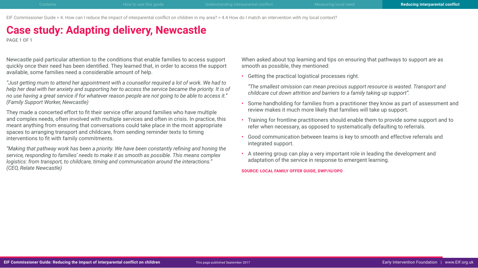EIF Commissioner Guide > 4. How can I reduce the impact of interparental conflict on children in my area? > 4.4 How do I match an intervention with my local context?

## **Case study: Adapting delivery, Newcastle**

PAGE 1 OF 1

Newcastle paid particular attention to the conditions that enable families to access support quickly once their need has been identified. They learned that, in order to access the support available, some families need a considerable amount of help.

*"Just getting mum to attend her appointment with a counsellor required a lot of work. We had to help her deal with her anxiety and supporting her to access the service became the priority. It is of no use having a great service if for whatever reason people are not going to be able to access it." (Family Support Worker, Newcastle)*

They made a concerted effort to fit their service offer around families who have multiple and complex needs, often involved with multiple services and often in crisis. In practice, this meant anything from ensuring that conversations could take place in the most appropriate spaces to arranging transport and childcare, from sending reminder texts to timing interventions to fit with family commitments.

*"Making that pathway work has been a priority. We have been constantly refining and honing the service, responding to families' needs to make it as smooth as possible. This means complex logistics: from transport, to childcare, timing and communication around the interactions." (CEO, Relate Newcastle)*

When asked about top learning and tips on ensuring that pathways to support are as smooth as possible, they mentioned:

• Getting the practical logistical processes right.

*"The smallest omission can mean precious support resource is wasted. Transport and childcare cut down attrition and barriers to a family taking up support".*

- Some handholding for families from a practitioner they know as part of assessment and review makes it much more likely that families will take up support.
- Training for frontline practitioners should enable them to provide some support and to refer when necessary, as opposed to systematically defaulting to referrals.
- Good communication between teams is key to smooth and effective referrals and integrated support.
- A steering group can play a very important role in leading the development and adaptation of the service in response to emergent learning.

**SOURCE: LOCAL FAMILY OFFER GUIDE, DWP/IU/OPO**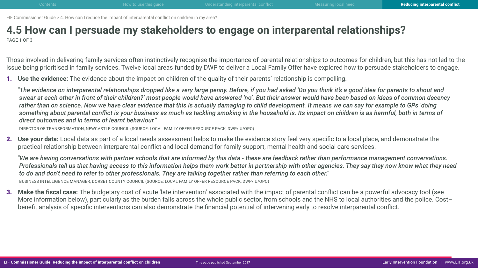### <span id="page-52-0"></span>**4.5 How can I persuade my stakeholders to engage on interparental relationships?** PAGE 1 OF 3

Those involved in delivering family services often instinctively recognise the importance of parental relationships to outcomes for children, but this has not led to the issue being prioritised in family services. Twelve local areas funded by DWP to deliver a Local Family Offer have explored how to persuade stakeholders to engage.

1. **Use the evidence:** The evidence about the impact on children of the quality of their parents' relationship is compelling.

*"The evidence on interparental relationships dropped like a very large penny. Before, if you had asked 'Do you think it's a good idea for parents to shout and swear at each other in front of their children?' most people would have answered 'no'. But their answer would have been based on ideas of common decency rather than on science. Now we have clear evidence that this is actually damaging to child development. It means we can say for example to GPs 'doing something about parental conflict is your business as much as tackling smoking in the household is. Its impact on children is as harmful, both in terms of direct outcomes and in terms of learnt behaviour."* 

DIRECTOR OF TRANSFORMATION, NEWCASTLE COUNCIL (SOURCE: LOCAL FAMILY OFFER RESOURCE PACK, DWP/IU/OPO)

2. **Use your data:** Local data as part of a local needs assessment helps to make the evidence story feel very specific to a local place, and demonstrate the practical relationship between interparental conflict and local demand for family support, mental health and social care services.

*"We are having conversations with partner schools that are informed by this data - these are feedback rather than performance management conversations. Professionals tell us that having access to this information helps them work better in partnership with other agencies. They say they now know what they need to do and don't need to refer to other professionals. They are talking together rather than referring to each other."*  BUSINESS INTELLIGENCE MANAGER, DORSET COUNTY COUNCIL (SOURCE: LOCAL FAMILY OFFER RESOURCE PACK, DWP/IU/OPO)

3. **Make the fiscal case:** The budgetary cost of acute 'late intervention' associated with the impact of parental conflict can be a powerful advocacy tool (see More information below), particularly as the burden falls across the whole public sector, from schools and the NHS to local authorities and the police. Cost– benefit analysis of specific interventions can also demonstrate the financial potential of intervening early to resolve interparental conflict.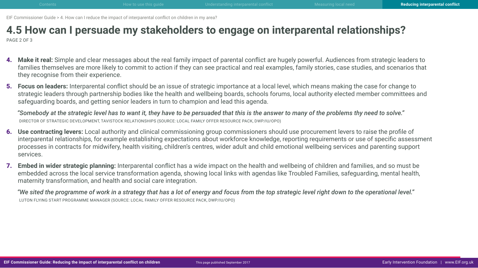### **4.5 How can I persuade my stakeholders to engage on interparental relationships?** PAGE 2 OF 3

- 4. **Make it real:** Simple and clear messages about the real family impact of parental conflict are hugely powerful. Audiences from strategic leaders to families themselves are more likely to commit to action if they can see practical and real examples, family stories, case studies, and scenarios that they recognise from their experience.
- 5. **Focus on leaders:** Interparental conflict should be an issue of strategic importance at a local level, which means making the case for change to strategic leaders through partnership bodies like the health and wellbeing boards, schools forums, local authority elected member committees and safeguarding boards, and getting senior leaders in turn to champion and lead this agenda.

*"Somebody at the strategic level has to want it, they have to be persuaded that this is the answer to many of the problems thy need to solve."*  DIRECTOR OF STRATEGIC DEVELOPMENT, TAVISTOCK RELATIONSHIPS (SOURCE: LOCAL FAMILY OFFER RESOURCE PACK, DWP/IU/OPO)

- 6. **Use contracting levers:** Local authority and clinical commissioning group commissioners should use procurement levers to raise the profile of interparental relationships, for example establishing expectations about workforce knowledge, reporting requirements or use of specific assessment processes in contracts for midwifery, health visiting, children's centres, wider adult and child emotional wellbeing services and parenting support services.
- 7. **Embed in wider strategic planning:** Interparental conflict has a wide impact on the health and wellbeing of children and families, and so must be embedded across the local service transformation agenda, showing local links with agendas like Troubled Families, safeguarding, mental health, maternity transformation, and health and social care integration.

*"We sited the programme of work in a strategy that has a lot of energy and focus from the top strategic level right down to the operational level."* LUTON FLYING START PROGRAMME MANAGER (SOURCE: LOCAL FAMILY OFFER RESOURCE PACK, DWP/IU/OPO)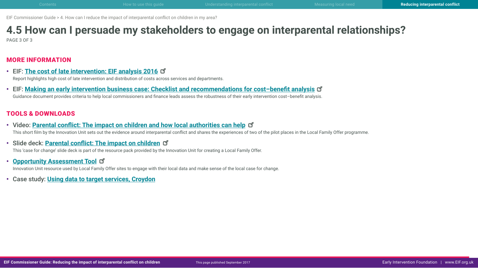# **4.5 How can I persuade my stakeholders to engage on interparental relationships?**

PAGE 3 OF 3

### MORE INFORMATION

- EIF: **[The cost of late intervention: EIF analysis 201](http://www.eif.org.uk/publication/the-cost-of-late-intervention-eif-analysis-2016/)6** Report highlights high cost of late intervention and distribution of costs across services and departments.
- EIF: **[Making an early intervention business case: Checklist and recommendations for cost–benefit analysi](http://www.eif.org.uk/wp-content/uploads/2015/08/4bc-checklistandrecsforcba.pdf)s** Guidance document provides criteria to help local commissioners and finance leads assess the robustness of their early intervention cost–benefit analysis.

### TOOLS & DOWNLOADS

- Video: **[Parental conflict: The impact on children and how local authorities can hel](https://vimeo.com/216676343)p** This short film by the Innovation Unit sets out the evidence around interparental conflict and shares the experiences of two of the pilot places in the Local Family Offer programme.
- Slide deck: **[Parental conflict: The impact on childre](http://www.innovationunit.org/wp-content/uploads/2017/05/Local-Family-Offer-Case-for-Change.pdf)n**

This 'case for change' slide deck is part of the resource pack provided by the Innovation Unit for creating a Local Family Offer.

- **[Opportunity Assessment Too](http://www.innovationunit.org/wp-content/uploads/2017/05/Local-Family-Offer-Opportunity-Assessment-Tool.pdf)l** Innovation Unit resource used by Local Family Offer sites to engage with their local data and make sense of the local case for change.
- Case study: **Using data to target services, Croydon**